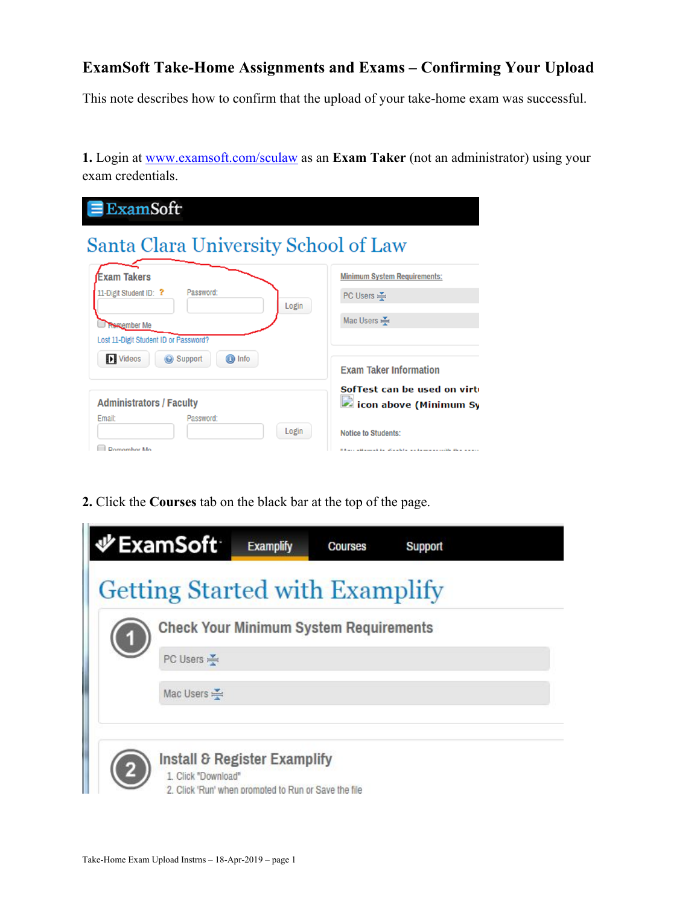## **ExamSoft Take-Home Assignments and Exams – Confirming Your Upload**

This note describes how to confirm that the upload of your take-home exam was successful.

**1.** Login at www.examsoft.com/sculaw as an **Exam Taker** (not an administrator) using your exam credentials.

| $\equiv$ ExamSoft                                             |                                                                                                                        |  |  |  |
|---------------------------------------------------------------|------------------------------------------------------------------------------------------------------------------------|--|--|--|
| Santa Clara University School of Law                          |                                                                                                                        |  |  |  |
| <b>Exam Takers</b><br>Password:<br>11-Digit Student ID: ?     | <b>Minimum System Requirements:</b><br>PC Users $\leq$                                                                 |  |  |  |
| Login<br>Remember Me<br>Lost 11-Digit Student ID or Password? | Mac Users $\leq$                                                                                                       |  |  |  |
| <b>ID</b> Videos<br>Support<br><b>O</b> Info                  | <b>Exam Taker Information</b>                                                                                          |  |  |  |
| <b>Administrators / Faculty</b><br><b>Email:</b><br>Password: | SofTest can be used on virti<br>icon above (Minimum Sy                                                                 |  |  |  |
| Login<br>Domombor Mo                                          | <b>Notice to Students:</b><br>If A serve with a second time of the wind of the server and contribution of the property |  |  |  |

**2.** Click the **Courses** tab on the black bar at the top of the page.

|     | <b>少ExamSoft</b>                                    | <b>Examplify</b>                                     | <b>Courses</b>                                | Support |  |
|-----|-----------------------------------------------------|------------------------------------------------------|-----------------------------------------------|---------|--|
|     |                                                     |                                                      | <b>Getting Started with Examplify</b>         |         |  |
|     |                                                     |                                                      | <b>Check Your Minimum System Requirements</b> |         |  |
| (1) | PC Users                                            |                                                      |                                               |         |  |
|     | Mac Users                                           |                                                      |                                               |         |  |
|     |                                                     |                                                      |                                               |         |  |
|     | Install & Register Examplify<br>1. Click "Download" |                                                      |                                               |         |  |
|     |                                                     | 2. Click 'Run' when prompted to Run or Save the file |                                               |         |  |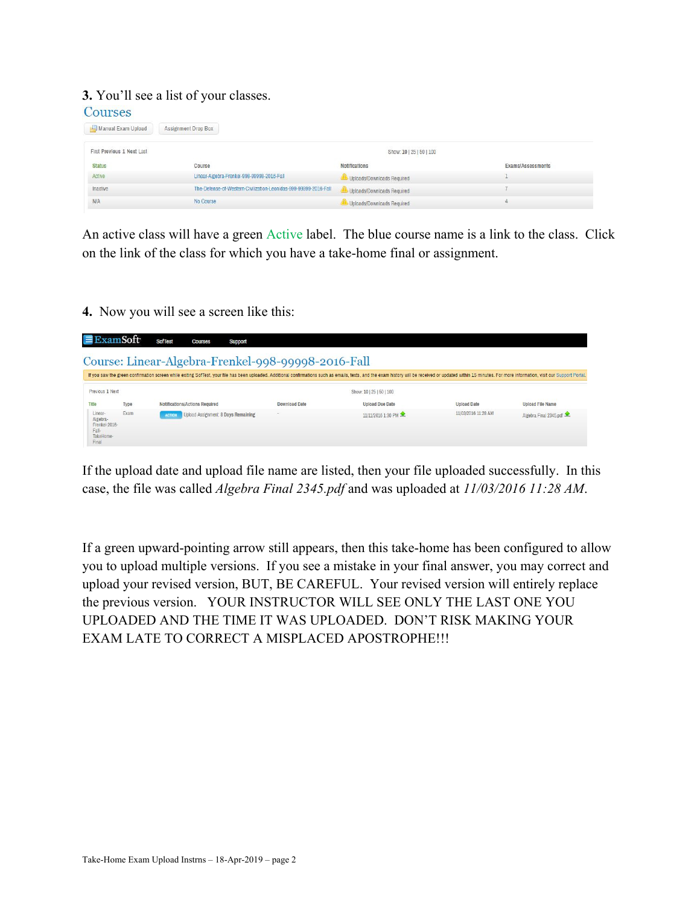## **3.** You'll see a list of your classes.

| Courses                    |                     |                                                                  |                            |                   |
|----------------------------|---------------------|------------------------------------------------------------------|----------------------------|-------------------|
| Manual Exam Upload         | Assignment Drop Box |                                                                  |                            |                   |
| First Previous 1 Next Last |                     |                                                                  | Show: 10   25   50   100   |                   |
| <b>Status</b>              | Course              |                                                                  | <b>Notifications</b>       | Exams/Assessments |
| Active                     |                     | Linear-Algebra-Frenkel-998-99998-2016-Fall                       | Uploads/Downloads Required |                   |
| Inactive                   |                     | The-Defense-of-Western-Civilization-Leonidas-999-99999-2016-Fall | Uploads/Downloads Required |                   |
| <b>N/A</b>                 | No Course           |                                                                  | Uploads/Downloads Required |                   |

An active class will have a green Active label. The blue course name is a link to the class. Click on the link of the class for which you have a take-home final or assignment.

**4.** Now you will see a screen like this:

|                                                                     | xamSoft                                                                                                                                                                                                                        | <b>SofTest</b><br>Courses<br>Support                        |                      |                          |                     |                         |  |  |
|---------------------------------------------------------------------|--------------------------------------------------------------------------------------------------------------------------------------------------------------------------------------------------------------------------------|-------------------------------------------------------------|----------------------|--------------------------|---------------------|-------------------------|--|--|
|                                                                     | Course: Linear-Algebra-Frenkel-998-99998-2016-Fall                                                                                                                                                                             |                                                             |                      |                          |                     |                         |  |  |
|                                                                     | If you saw the green confirmation screen while exiting SofTest, your file has been uploaded. Additional confirmations such as emails, texts, and the exam history will be received or updated within 15 minutes. For more info |                                                             |                      |                          |                     |                         |  |  |
| Previous 1 Next                                                     |                                                                                                                                                                                                                                |                                                             |                      | Show: 10   25   50   100 |                     |                         |  |  |
| Title                                                               | Type                                                                                                                                                                                                                           | <b>Notifications/Actions Required</b>                       | <b>Download Date</b> | <b>Upload Due Date</b>   | <b>Upload Date</b>  | <b>Upload File Name</b> |  |  |
| Linear-<br>Algebra-<br>Frenkel-2016-<br>Fall-<br>TakeHome-<br>Final | Exam                                                                                                                                                                                                                           | <b>Upload Assignment: 8 Days Remaining</b><br><b>ACTION</b> | ٠                    | 11/11/2016 1:30 PM       | 11/03/2016 11:28 AM | Algebra Final 2345.pdf  |  |  |

If the upload date and upload file name are listed, then your file uploaded successfully. In this case, the file was called *Algebra Final 2345.pdf* and was uploaded at *11/03/2016 11:28 AM*.

If a green upward-pointing arrow still appears, then this take-home has been configured to allow you to upload multiple versions. If you see a mistake in your final answer, you may correct and upload your revised version, BUT, BE CAREFUL. Your revised version will entirely replace the previous version. YOUR INSTRUCTOR WILL SEE ONLY THE LAST ONE YOU UPLOADED AND THE TIME IT WAS UPLOADED. DON'T RISK MAKING YOUR EXAM LATE TO CORRECT A MISPLACED APOSTROPHE!!!